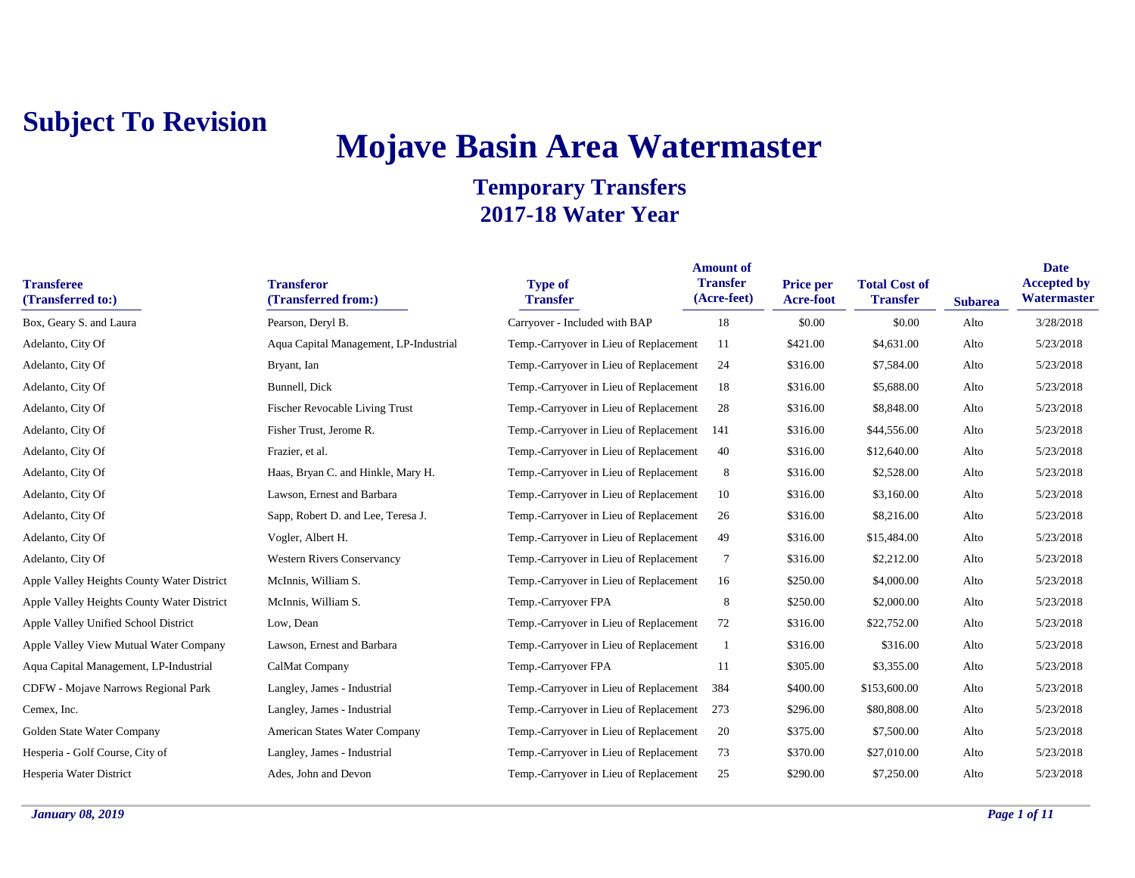# **Mojave Basin Area Watermaster**

| <b>Transferee</b><br>(Transferred to:)     | <b>Transferor</b><br>(Transferred from:) | <b>Type of</b><br><b>Transfer</b>      | <b>Amount of</b><br><b>Transfer</b><br>(Acre-feet) | <b>Price per</b><br>Acre-foot | <b>Total Cost of</b><br><b>Transfer</b> | <b>Subarea</b> | <b>Date</b><br><b>Accepted by</b><br>Watermaster |
|--------------------------------------------|------------------------------------------|----------------------------------------|----------------------------------------------------|-------------------------------|-----------------------------------------|----------------|--------------------------------------------------|
| Box, Geary S. and Laura                    | Pearson, Deryl B.                        | Carryover - Included with BAP          | 18                                                 | \$0.00                        | \$0.00                                  | Alto           | 3/28/2018                                        |
| Adelanto, City Of                          | Aqua Capital Management, LP-Industrial   | Temp.-Carryover in Lieu of Replacement | 11                                                 | \$421.00                      | \$4,631.00                              | Alto           | 5/23/2018                                        |
| Adelanto, City Of                          | Bryant, Ian                              | Temp.-Carryover in Lieu of Replacement | 24                                                 | \$316.00                      | \$7,584.00                              | Alto           | 5/23/2018                                        |
| Adelanto, City Of                          | Bunnell, Dick                            | Temp.-Carryover in Lieu of Replacement | 18                                                 | \$316.00                      | \$5,688.00                              | Alto           | 5/23/2018                                        |
| Adelanto, City Of                          | <b>Fischer Revocable Living Trust</b>    | Temp.-Carryover in Lieu of Replacement | 28                                                 | \$316.00                      | \$8,848.00                              | Alto           | 5/23/2018                                        |
| Adelanto, City Of                          | Fisher Trust, Jerome R.                  | Temp.-Carryover in Lieu of Replacement | 141                                                | \$316.00                      | \$44,556.00                             | Alto           | 5/23/2018                                        |
| Adelanto, City Of                          | Frazier, et al.                          | Temp.-Carryover in Lieu of Replacement | 40                                                 | \$316.00                      | \$12,640.00                             | Alto           | 5/23/2018                                        |
| Adelanto, City Of                          | Haas, Bryan C. and Hinkle, Mary H.       | Temp.-Carryover in Lieu of Replacement | 8                                                  | \$316.00                      | \$2,528.00                              | Alto           | 5/23/2018                                        |
| Adelanto, City Of                          | Lawson, Ernest and Barbara               | Temp.-Carryover in Lieu of Replacement | 10                                                 | \$316.00                      | \$3,160.00                              | Alto           | 5/23/2018                                        |
| Adelanto, City Of                          | Sapp, Robert D. and Lee, Teresa J.       | Temp.-Carryover in Lieu of Replacement | 26                                                 | \$316.00                      | \$8,216.00                              | Alto           | 5/23/2018                                        |
| Adelanto, City Of                          | Vogler, Albert H.                        | Temp.-Carryover in Lieu of Replacement | 49                                                 | \$316.00                      | \$15,484.00                             | Alto           | 5/23/2018                                        |
| Adelanto, City Of                          | <b>Western Rivers Conservancy</b>        | Temp.-Carryover in Lieu of Replacement | 7                                                  | \$316.00                      | \$2,212.00                              | Alto           | 5/23/2018                                        |
| Apple Valley Heights County Water District | McInnis, William S.                      | Temp.-Carryover in Lieu of Replacement | 16                                                 | \$250.00                      | \$4,000.00                              | Alto           | 5/23/2018                                        |
| Apple Valley Heights County Water District | McInnis, William S.                      | Temp.-Carryover FPA                    | 8                                                  | \$250.00                      | \$2,000.00                              | Alto           | 5/23/2018                                        |
| Apple Valley Unified School District       | Low, Dean                                | Temp.-Carryover in Lieu of Replacement | 72                                                 | \$316.00                      | \$22,752.00                             | Alto           | 5/23/2018                                        |
| Apple Valley View Mutual Water Company     | Lawson, Ernest and Barbara               | Temp.-Carryover in Lieu of Replacement |                                                    | \$316.00                      | \$316.00                                | Alto           | 5/23/2018                                        |
| Aqua Capital Management, LP-Industrial     | CalMat Company                           | Temp.-Carryover FPA                    | 11                                                 | \$305.00                      | \$3,355.00                              | Alto           | 5/23/2018                                        |
| CDFW - Mojave Narrows Regional Park        | Langley, James - Industrial              | Temp.-Carryover in Lieu of Replacement | 384                                                | \$400.00                      | \$153,600.00                            | Alto           | 5/23/2018                                        |
| Cemex, Inc.                                | Langley, James - Industrial              | Temp.-Carryover in Lieu of Replacement | 273                                                | \$296.00                      | \$80,808.00                             | Alto           | 5/23/2018                                        |
| Golden State Water Company                 | American States Water Company            | Temp.-Carryover in Lieu of Replacement | 20                                                 | \$375.00                      | \$7,500.00                              | Alto           | 5/23/2018                                        |
| Hesperia - Golf Course, City of            | Langley, James - Industrial              | Temp.-Carryover in Lieu of Replacement | 73                                                 | \$370.00                      | \$27,010.00                             | Alto           | 5/23/2018                                        |
| Hesperia Water District                    | Ades, John and Devon                     | Temp.-Carryover in Lieu of Replacement | 25                                                 | \$290.00                      | \$7,250.00                              | Alto           | 5/23/2018                                        |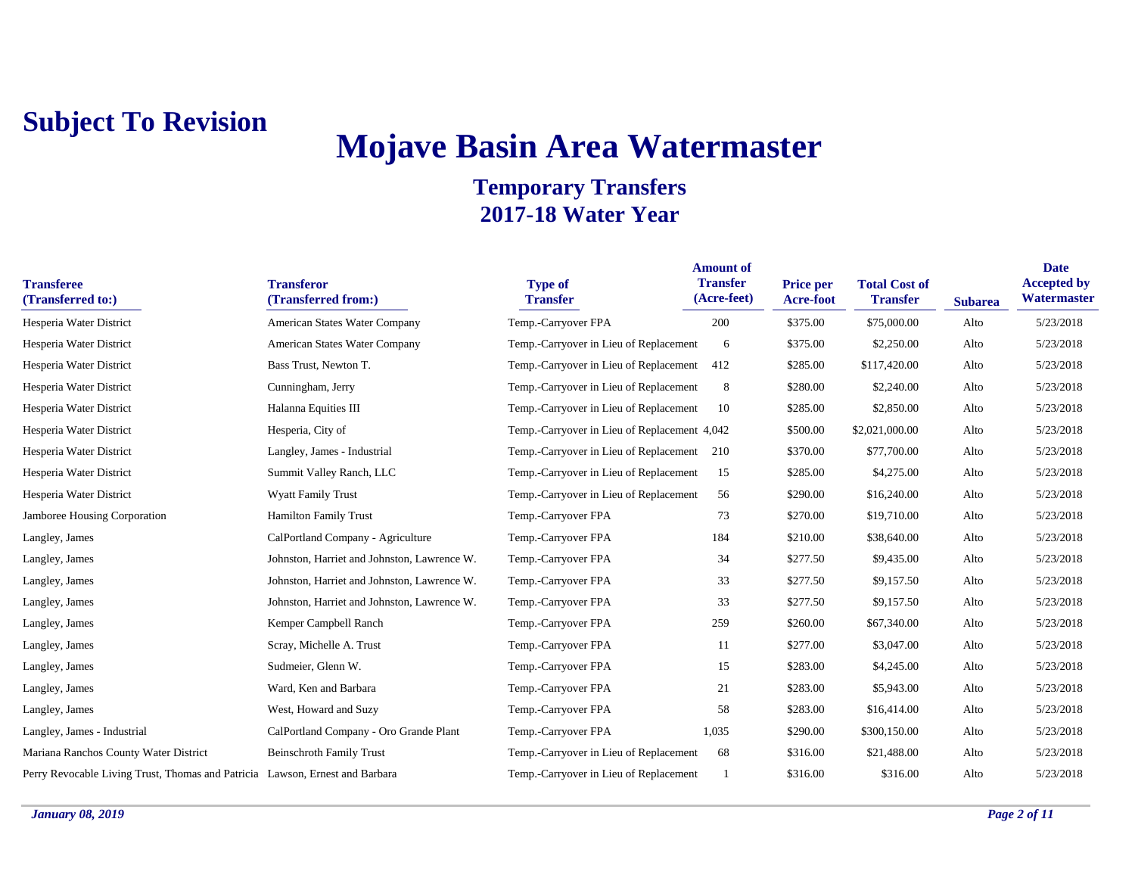## **Mojave Basin Area Watermaster**

| <b>Transferee</b><br>(Transferred to:)                                       | <b>Transferor</b><br>(Transferred from:)    | <b>Type of</b><br><b>Transfer</b>            | <b>Amount of</b><br><b>Transfer</b><br>(Acre-feet) | Price per<br>Acre-foot | <b>Total Cost of</b><br><b>Transfer</b> | <b>Subarea</b> | <b>Date</b><br><b>Accepted by</b><br>Watermaster |
|------------------------------------------------------------------------------|---------------------------------------------|----------------------------------------------|----------------------------------------------------|------------------------|-----------------------------------------|----------------|--------------------------------------------------|
| Hesperia Water District                                                      | American States Water Company               | Temp.-Carryover FPA                          | 200                                                | \$375.00               | \$75,000.00                             | Alto           | 5/23/2018                                        |
| Hesperia Water District                                                      | American States Water Company               | Temp.-Carryover in Lieu of Replacement       | 6                                                  | \$375.00               | \$2,250.00                              | Alto           | 5/23/2018                                        |
| Hesperia Water District                                                      | Bass Trust, Newton T.                       | Temp.-Carryover in Lieu of Replacement       | 412                                                | \$285.00               | \$117,420.00                            | Alto           | 5/23/2018                                        |
| Hesperia Water District                                                      | Cunningham, Jerry                           | Temp.-Carryover in Lieu of Replacement       | 8                                                  | \$280.00               | \$2,240.00                              | Alto           | 5/23/2018                                        |
| Hesperia Water District                                                      | Halanna Equities III                        | Temp.-Carryover in Lieu of Replacement       | 10                                                 | \$285.00               | \$2,850.00                              | Alto           | 5/23/2018                                        |
| Hesperia Water District                                                      | Hesperia, City of                           | Temp.-Carryover in Lieu of Replacement 4,042 |                                                    | \$500.00               | \$2,021,000.00                          | Alto           | 5/23/2018                                        |
| Hesperia Water District                                                      | Langley, James - Industrial                 | Temp.-Carryover in Lieu of Replacement 210   |                                                    | \$370.00               | \$77,700.00                             | Alto           | 5/23/2018                                        |
| Hesperia Water District                                                      | Summit Valley Ranch, LLC                    | Temp.-Carryover in Lieu of Replacement       | 15                                                 | \$285.00               | \$4,275.00                              | Alto           | 5/23/2018                                        |
| Hesperia Water District                                                      | <b>Wyatt Family Trust</b>                   | Temp.-Carryover in Lieu of Replacement       | 56                                                 | \$290.00               | \$16,240.00                             | Alto           | 5/23/2018                                        |
| Jamboree Housing Corporation                                                 | <b>Hamilton Family Trust</b>                | Temp.-Carryover FPA                          | 73                                                 | \$270.00               | \$19,710.00                             | Alto           | 5/23/2018                                        |
| Langley, James                                                               | CalPortland Company - Agriculture           | Temp.-Carryover FPA                          | 184                                                | \$210.00               | \$38,640.00                             | Alto           | 5/23/2018                                        |
| Langley, James                                                               | Johnston, Harriet and Johnston, Lawrence W. | Temp.-Carryover FPA                          | 34                                                 | \$277.50               | \$9,435.00                              | Alto           | 5/23/2018                                        |
| Langley, James                                                               | Johnston, Harriet and Johnston, Lawrence W. | Temp.-Carryover FPA                          | 33                                                 | \$277.50               | \$9,157.50                              | Alto           | 5/23/2018                                        |
| Langley, James                                                               | Johnston, Harriet and Johnston, Lawrence W. | Temp.-Carryover FPA                          | 33                                                 | \$277.50               | \$9,157.50                              | Alto           | 5/23/2018                                        |
| Langley, James                                                               | Kemper Campbell Ranch                       | Temp.-Carryover FPA                          | 259                                                | \$260.00               | \$67,340.00                             | Alto           | 5/23/2018                                        |
| Langley, James                                                               | Scray, Michelle A. Trust                    | Temp.-Carryover FPA                          | 11                                                 | \$277.00               | \$3,047.00                              | Alto           | 5/23/2018                                        |
| Langley, James                                                               | Sudmeier, Glenn W.                          | Temp.-Carryover FPA                          | 15                                                 | \$283.00               | \$4,245.00                              | Alto           | 5/23/2018                                        |
| Langley, James                                                               | Ward, Ken and Barbara                       | Temp.-Carryover FPA                          | 21                                                 | \$283.00               | \$5,943.00                              | Alto           | 5/23/2018                                        |
| Langley, James                                                               | West, Howard and Suzy                       | Temp.-Carryover FPA                          | 58                                                 | \$283.00               | \$16,414.00                             | Alto           | 5/23/2018                                        |
| Langley, James - Industrial                                                  | CalPortland Company - Oro Grande Plant      | Temp.-Carryover FPA                          | 1,035                                              | \$290.00               | \$300,150.00                            | Alto           | 5/23/2018                                        |
| Mariana Ranchos County Water District                                        | <b>Beinschroth Family Trust</b>             | Temp.-Carryover in Lieu of Replacement       | 68                                                 | \$316.00               | \$21,488.00                             | Alto           | 5/23/2018                                        |
| Perry Revocable Living Trust, Thomas and Patricia Lawson, Ernest and Barbara |                                             | Temp.-Carryover in Lieu of Replacement       |                                                    | \$316.00               | \$316.00                                | Alto           | 5/23/2018                                        |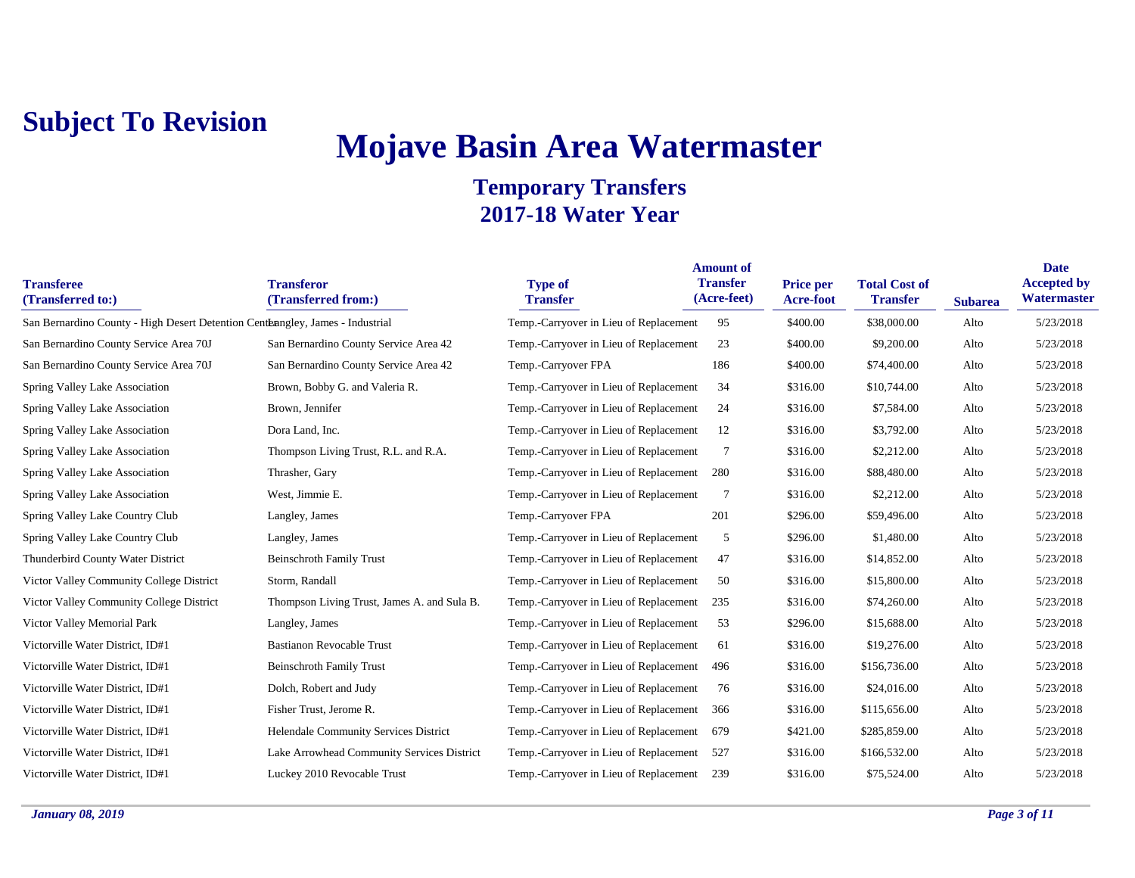## **Mojave Basin Area Watermaster**

| <b>Transferee</b><br>(Transferred to:)                                         | <b>Transferor</b><br>(Transferred from:)    | <b>Type of</b><br><b>Transfer</b>          | <b>Amount of</b><br><b>Transfer</b><br>(Acre-feet) | Price per<br><b>Acre-foot</b> | <b>Total Cost of</b><br><b>Transfer</b> | <b>Subarea</b> | <b>Date</b><br><b>Accepted by</b><br>Watermaster |
|--------------------------------------------------------------------------------|---------------------------------------------|--------------------------------------------|----------------------------------------------------|-------------------------------|-----------------------------------------|----------------|--------------------------------------------------|
| San Bernardino County - High Desert Detention Centerangley, James - Industrial |                                             | Temp.-Carryover in Lieu of Replacement     | 95                                                 | \$400.00                      | \$38,000.00                             | Alto           | 5/23/2018                                        |
| San Bernardino County Service Area 70J                                         | San Bernardino County Service Area 42       | Temp.-Carryover in Lieu of Replacement     | 23                                                 | \$400.00                      | \$9,200.00                              | Alto           | 5/23/2018                                        |
| San Bernardino County Service Area 70J                                         | San Bernardino County Service Area 42       | Temp.-Carryover FPA                        | 186                                                | \$400.00                      | \$74,400.00                             | Alto           | 5/23/2018                                        |
| Spring Valley Lake Association                                                 | Brown, Bobby G. and Valeria R.              | Temp.-Carryover in Lieu of Replacement     | 34                                                 | \$316.00                      | \$10,744.00                             | Alto           | 5/23/2018                                        |
| Spring Valley Lake Association                                                 | Brown, Jennifer                             | Temp.-Carryover in Lieu of Replacement     | 24                                                 | \$316.00                      | \$7,584.00                              | Alto           | 5/23/2018                                        |
| Spring Valley Lake Association                                                 | Dora Land, Inc.                             | Temp.-Carryover in Lieu of Replacement     | 12                                                 | \$316.00                      | \$3,792.00                              | Alto           | 5/23/2018                                        |
| Spring Valley Lake Association                                                 | Thompson Living Trust, R.L. and R.A.        | Temp.-Carryover in Lieu of Replacement     | 7                                                  | \$316.00                      | \$2,212.00                              | Alto           | 5/23/2018                                        |
| Spring Valley Lake Association                                                 | Thrasher, Gary                              | Temp.-Carryover in Lieu of Replacement     | 280                                                | \$316.00                      | \$88,480.00                             | Alto           | 5/23/2018                                        |
| Spring Valley Lake Association                                                 | West, Jimmie E.                             | Temp.-Carryover in Lieu of Replacement     | $\overline{7}$                                     | \$316.00                      | \$2,212.00                              | Alto           | 5/23/2018                                        |
| Spring Valley Lake Country Club                                                | Langley, James                              | Temp.-Carryover FPA                        | 201                                                | \$296.00                      | \$59,496.00                             | Alto           | 5/23/2018                                        |
| Spring Valley Lake Country Club                                                | Langley, James                              | Temp.-Carryover in Lieu of Replacement     | 5                                                  | \$296.00                      | \$1,480.00                              | Alto           | 5/23/2018                                        |
| Thunderbird County Water District                                              | <b>Beinschroth Family Trust</b>             | Temp.-Carryover in Lieu of Replacement     | 47                                                 | \$316.00                      | \$14,852.00                             | Alto           | 5/23/2018                                        |
| Victor Valley Community College District                                       | Storm, Randall                              | Temp.-Carryover in Lieu of Replacement     | 50                                                 | \$316.00                      | \$15,800.00                             | Alto           | 5/23/2018                                        |
| Victor Valley Community College District                                       | Thompson Living Trust, James A. and Sula B. | Temp.-Carryover in Lieu of Replacement 235 |                                                    | \$316.00                      | \$74,260.00                             | Alto           | 5/23/2018                                        |
| Victor Valley Memorial Park                                                    | Langley, James                              | Temp.-Carryover in Lieu of Replacement     | 53                                                 | \$296.00                      | \$15,688.00                             | Alto           | 5/23/2018                                        |
| Victorville Water District, ID#1                                               | <b>Bastianon Revocable Trust</b>            | Temp.-Carryover in Lieu of Replacement     | 61                                                 | \$316.00                      | \$19,276.00                             | Alto           | 5/23/2018                                        |
| Victorville Water District, ID#1                                               | <b>Beinschroth Family Trust</b>             | Temp.-Carryover in Lieu of Replacement     | 496                                                | \$316.00                      | \$156,736.00                            | Alto           | 5/23/2018                                        |
| Victorville Water District, ID#1                                               | Dolch, Robert and Judy                      | Temp.-Carryover in Lieu of Replacement     | 76                                                 | \$316.00                      | \$24,016.00                             | Alto           | 5/23/2018                                        |
| Victorville Water District, ID#1                                               | Fisher Trust, Jerome R.                     | Temp.-Carryover in Lieu of Replacement     | 366                                                | \$316.00                      | \$115,656.00                            | Alto           | 5/23/2018                                        |
| Victorville Water District, ID#1                                               | Helendale Community Services District       | Temp.-Carryover in Lieu of Replacement     | 679                                                | \$421.00                      | \$285,859.00                            | Alto           | 5/23/2018                                        |
| Victorville Water District, ID#1                                               | Lake Arrowhead Community Services District  | Temp.-Carryover in Lieu of Replacement     | 527                                                | \$316.00                      | \$166,532.00                            | Alto           | 5/23/2018                                        |
| Victorville Water District, ID#1                                               | Luckey 2010 Revocable Trust                 | Temp.-Carryover in Lieu of Replacement 239 |                                                    | \$316.00                      | \$75,524.00                             | Alto           | 5/23/2018                                        |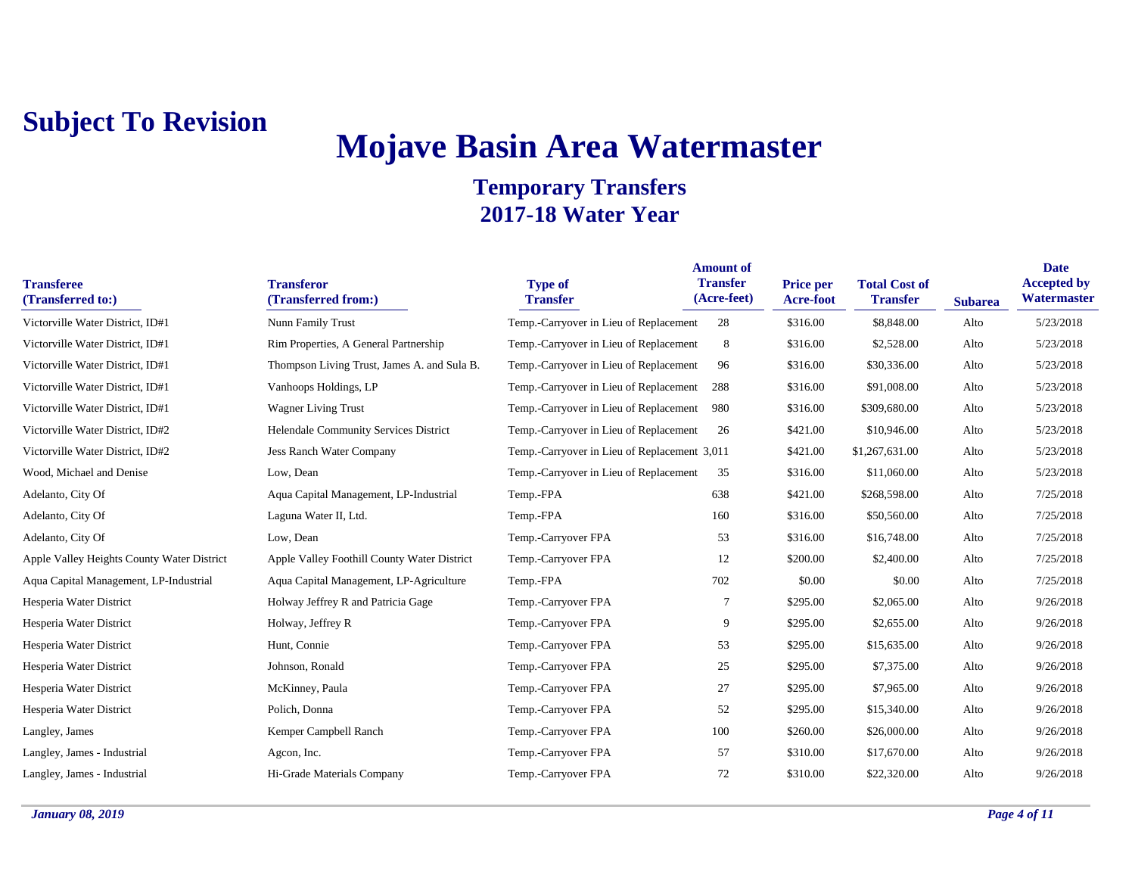# **Mojave Basin Area Watermaster**

| <b>Transferee</b><br>(Transferred to:)     | <b>Transferor</b><br>(Transferred from:)    | <b>Type of</b><br><b>Transfer</b>            | <b>Amount of</b><br><b>Transfer</b><br>(Acre-feet) | <b>Price per</b><br><b>Acre-foot</b> | <b>Total Cost of</b><br><b>Transfer</b> | <b>Subarea</b> | <b>Date</b><br><b>Accepted by</b><br>Watermaster |
|--------------------------------------------|---------------------------------------------|----------------------------------------------|----------------------------------------------------|--------------------------------------|-----------------------------------------|----------------|--------------------------------------------------|
| Victorville Water District, ID#1           | Nunn Family Trust                           | Temp.-Carryover in Lieu of Replacement       | 28                                                 | \$316.00                             | \$8,848.00                              | Alto           | 5/23/2018                                        |
| Victorville Water District, ID#1           | Rim Properties, A General Partnership       | Temp.-Carryover in Lieu of Replacement       | 8                                                  | \$316.00                             | \$2,528.00                              | Alto           | 5/23/2018                                        |
| Victorville Water District, ID#1           | Thompson Living Trust, James A. and Sula B. | Temp.-Carryover in Lieu of Replacement       | 96                                                 | \$316.00                             | \$30,336.00                             | Alto           | 5/23/2018                                        |
| Victorville Water District, ID#1           | Vanhoops Holdings, LP                       | Temp.-Carryover in Lieu of Replacement       | 288                                                | \$316.00                             | \$91,008.00                             | Alto           | 5/23/2018                                        |
| Victorville Water District, ID#1           | <b>Wagner Living Trust</b>                  | Temp.-Carryover in Lieu of Replacement       | 980                                                | \$316.00                             | \$309,680.00                            | Alto           | 5/23/2018                                        |
| Victorville Water District, ID#2           | Helendale Community Services District       | Temp.-Carryover in Lieu of Replacement       | 26                                                 | \$421.00                             | \$10,946.00                             | Alto           | 5/23/2018                                        |
| Victorville Water District, ID#2           | <b>Jess Ranch Water Company</b>             | Temp.-Carryover in Lieu of Replacement 3,011 |                                                    | \$421.00                             | \$1,267,631.00                          | Alto           | 5/23/2018                                        |
| Wood, Michael and Denise                   | Low, Dean                                   | Temp.-Carryover in Lieu of Replacement       | 35                                                 | \$316.00                             | \$11,060.00                             | Alto           | 5/23/2018                                        |
| Adelanto, City Of                          | Aqua Capital Management, LP-Industrial      | Temp.-FPA                                    | 638                                                | \$421.00                             | \$268,598.00                            | Alto           | 7/25/2018                                        |
| Adelanto, City Of                          | Laguna Water II, Ltd.                       | Temp.-FPA                                    | 160                                                | \$316.00                             | \$50,560.00                             | Alto           | 7/25/2018                                        |
| Adelanto, City Of                          | Low, Dean                                   | Temp.-Carryover FPA                          | 53                                                 | \$316.00                             | \$16,748.00                             | Alto           | 7/25/2018                                        |
| Apple Valley Heights County Water District | Apple Valley Foothill County Water District | Temp.-Carryover FPA                          | 12                                                 | \$200.00                             | \$2,400.00                              | Alto           | 7/25/2018                                        |
| Aqua Capital Management, LP-Industrial     | Aqua Capital Management, LP-Agriculture     | Temp.-FPA                                    | 702                                                | \$0.00                               | \$0.00                                  | Alto           | 7/25/2018                                        |
| Hesperia Water District                    | Holway Jeffrey R and Patricia Gage          | Temp.-Carryover FPA                          | 7                                                  | \$295.00                             | \$2,065.00                              | Alto           | 9/26/2018                                        |
| Hesperia Water District                    | Holway, Jeffrey R                           | Temp.-Carryover FPA                          | 9                                                  | \$295.00                             | \$2,655.00                              | Alto           | 9/26/2018                                        |
| Hesperia Water District                    | Hunt, Connie                                | Temp.-Carryover FPA                          | 53                                                 | \$295.00                             | \$15,635.00                             | Alto           | 9/26/2018                                        |
| Hesperia Water District                    | Johnson, Ronald                             | Temp.-Carryover FPA                          | 25                                                 | \$295.00                             | \$7,375.00                              | Alto           | 9/26/2018                                        |
| Hesperia Water District                    | McKinney, Paula                             | Temp.-Carryover FPA                          | 27                                                 | \$295.00                             | \$7,965.00                              | Alto           | 9/26/2018                                        |
| Hesperia Water District                    | Polich, Donna                               | Temp.-Carryover FPA                          | 52                                                 | \$295.00                             | \$15,340.00                             | Alto           | 9/26/2018                                        |
| Langley, James                             | Kemper Campbell Ranch                       | Temp.-Carryover FPA                          | 100                                                | \$260.00                             | \$26,000.00                             | Alto           | 9/26/2018                                        |
| Langley, James - Industrial                | Agcon, Inc.                                 | Temp.-Carryover FPA                          | 57                                                 | \$310.00                             | \$17,670.00                             | Alto           | 9/26/2018                                        |
| Langley, James - Industrial                | Hi-Grade Materials Company                  | Temp.-Carryover FPA                          | 72                                                 | \$310.00                             | \$22,320.00                             | Alto           | 9/26/2018                                        |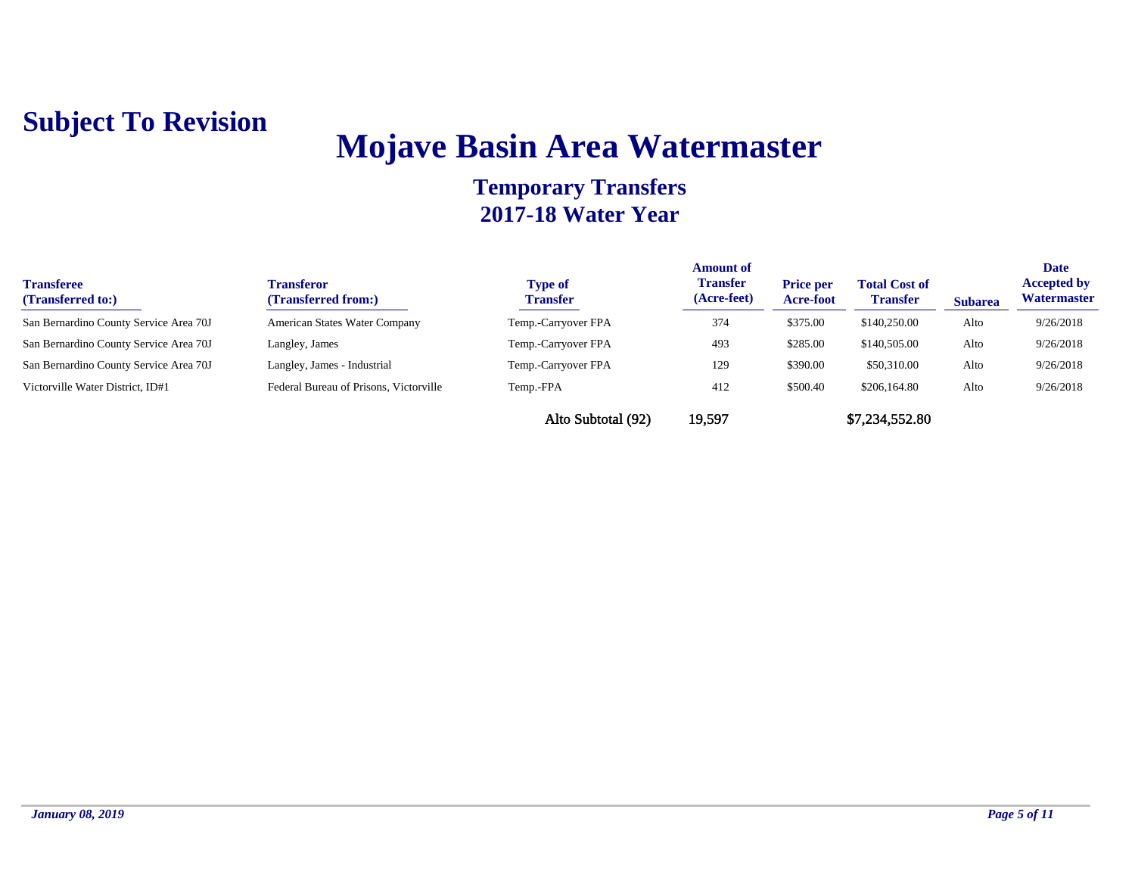## **Mojave Basin Area Watermaster**

| <b>Transferee</b><br>(Transferred to:) | <b>Transferor</b><br>(Transferred from:) | <b>Type of</b><br><b>Transfer</b> | <b>Amount of</b><br><b>Transfer</b><br>(Acre-feet) | <b>Price per</b><br>Acre-foot | <b>Total Cost of</b><br><b>Transfer</b> | <b>Subarea</b> | <b>Date</b><br><b>Accepted by</b><br>Watermaster |
|----------------------------------------|------------------------------------------|-----------------------------------|----------------------------------------------------|-------------------------------|-----------------------------------------|----------------|--------------------------------------------------|
| San Bernardino County Service Area 70J | American States Water Company            | Temp.-Carryover FPA               | 374                                                | \$375.00                      | \$140,250.00                            | Alto           | 9/26/2018                                        |
| San Bernardino County Service Area 70J | Langley, James                           | Temp.-Carryover FPA               | 493                                                | \$285.00                      | \$140,505.00                            | Alto           | 9/26/2018                                        |
| San Bernardino County Service Area 70J | Langley, James - Industrial              | Temp.-Carryover FPA               | 129                                                | \$390.00                      | \$50,310.00                             | Alto           | 9/26/2018                                        |
| Victorville Water District, ID#1       | Federal Bureau of Prisons, Victorville   | Temp.-FPA                         | 412                                                | \$500.40                      | \$206,164.80                            | Alto           | 9/26/2018                                        |
|                                        |                                          | Alto Subtotal (92)                | 19,597                                             |                               | \$7,234,552.80                          |                |                                                  |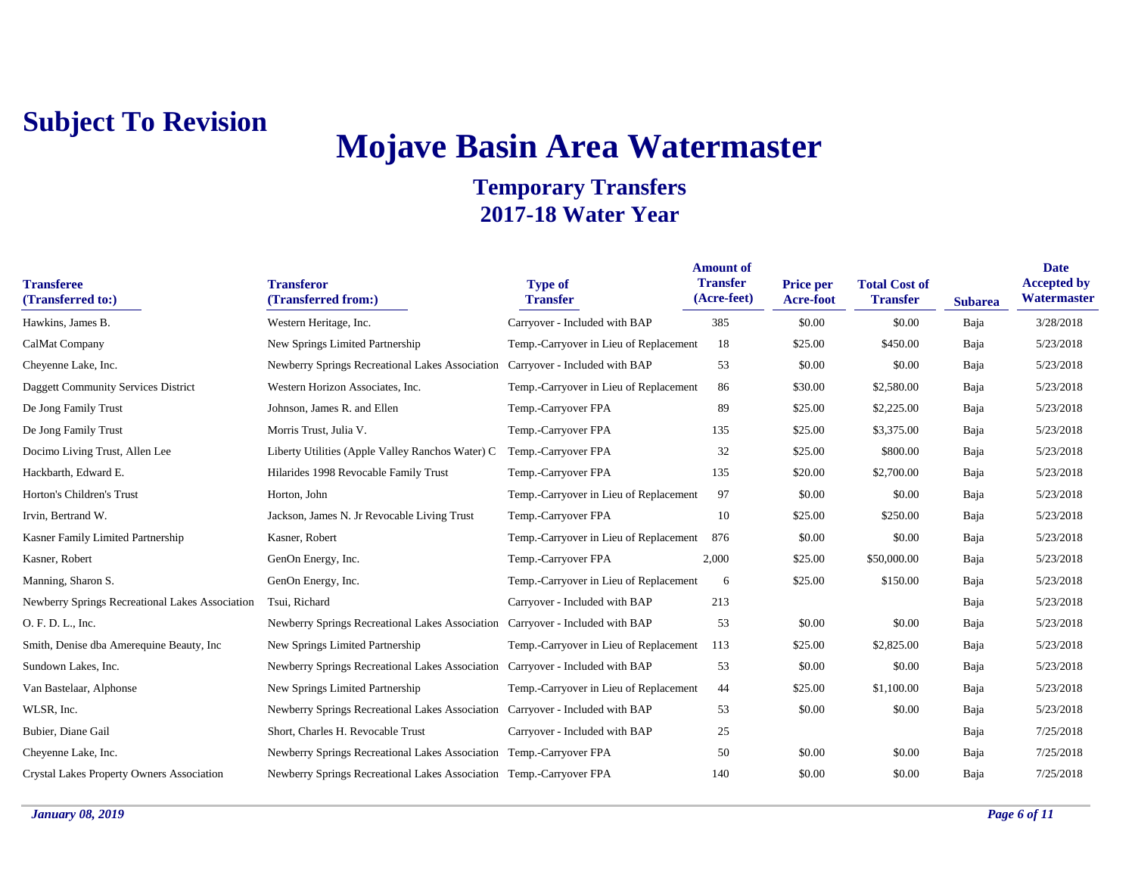# **Mojave Basin Area Watermaster**

| <b>Transferee</b><br>(Transferred to:)           | <b>Transferor</b><br>(Transferred from:)                                      | <b>Type of</b><br><b>Transfer</b>      | <b>Amount of</b><br><b>Transfer</b><br>(Acre-feet) | Price per<br><b>Acre-foot</b> | <b>Total Cost of</b><br><b>Transfer</b> | <b>Subarea</b> | <b>Date</b><br><b>Accepted by</b><br>Watermaster |
|--------------------------------------------------|-------------------------------------------------------------------------------|----------------------------------------|----------------------------------------------------|-------------------------------|-----------------------------------------|----------------|--------------------------------------------------|
| Hawkins, James B.                                | Western Heritage, Inc.                                                        | Carryover - Included with BAP          | 385                                                | \$0.00                        | \$0.00                                  | Baja           | 3/28/2018                                        |
| CalMat Company                                   | New Springs Limited Partnership                                               | Temp.-Carryover in Lieu of Replacement | 18                                                 | \$25.00                       | \$450.00                                | Baja           | 5/23/2018                                        |
| Cheyenne Lake, Inc.                              | Newberry Springs Recreational Lakes Association                               | Carryover - Included with BAP          | 53                                                 | \$0.00                        | \$0.00                                  | Baja           | 5/23/2018                                        |
| Daggett Community Services District              | Western Horizon Associates, Inc.                                              | Temp.-Carryover in Lieu of Replacement | 86                                                 | \$30.00                       | \$2,580.00                              | Baja           | 5/23/2018                                        |
| De Jong Family Trust                             | Johnson, James R. and Ellen                                                   | Temp.-Carryover FPA                    | 89                                                 | \$25.00                       | \$2,225.00                              | Baja           | 5/23/2018                                        |
| De Jong Family Trust                             | Morris Trust, Julia V.                                                        | Temp.-Carryover FPA                    | 135                                                | \$25.00                       | \$3,375.00                              | Baja           | 5/23/2018                                        |
| Docimo Living Trust, Allen Lee                   | Liberty Utilities (Apple Valley Ranchos Water) C                              | Temp.-Carryover FPA                    | 32                                                 | \$25.00                       | \$800.00                                | Baja           | 5/23/2018                                        |
| Hackbarth, Edward E.                             | Hilarides 1998 Revocable Family Trust                                         | Temp.-Carryover FPA                    | 135                                                | \$20.00                       | \$2,700.00                              | Baja           | 5/23/2018                                        |
| Horton's Children's Trust                        | Horton, John                                                                  | Temp.-Carryover in Lieu of Replacement | 97                                                 | \$0.00                        | \$0.00                                  | Baja           | 5/23/2018                                        |
| Irvin, Bertrand W.                               | Jackson, James N. Jr Revocable Living Trust                                   | Temp.-Carryover FPA                    | 10                                                 | \$25.00                       | \$250.00                                | Baja           | 5/23/2018                                        |
| Kasner Family Limited Partnership                | Kasner, Robert                                                                | Temp.-Carryover in Lieu of Replacement | 876                                                | \$0.00                        | \$0.00                                  | Baja           | 5/23/2018                                        |
| Kasner, Robert                                   | GenOn Energy, Inc.                                                            | Temp.-Carryover FPA                    | 2,000                                              | \$25.00                       | \$50,000.00                             | Baja           | 5/23/2018                                        |
| Manning, Sharon S.                               | GenOn Energy, Inc.                                                            | Temp.-Carryover in Lieu of Replacement | 6                                                  | \$25.00                       | \$150.00                                | Baja           | 5/23/2018                                        |
| Newberry Springs Recreational Lakes Association  | Tsui, Richard                                                                 | Carryover - Included with BAP          | 213                                                |                               |                                         | Baja           | 5/23/2018                                        |
| O. F. D. L., Inc.                                | Newberry Springs Recreational Lakes Association Carryover - Included with BAP |                                        | 53                                                 | \$0.00                        | \$0.00                                  | Baja           | 5/23/2018                                        |
| Smith, Denise dba Amerequine Beauty, Inc.        | New Springs Limited Partnership                                               | Temp.-Carryover in Lieu of Replacement | 113                                                | \$25.00                       | \$2,825.00                              | Baja           | 5/23/2018                                        |
| Sundown Lakes, Inc.                              | Newberry Springs Recreational Lakes Association                               | Carryover - Included with BAP          | 53                                                 | \$0.00                        | \$0.00                                  | Baja           | 5/23/2018                                        |
| Van Bastelaar, Alphonse                          | New Springs Limited Partnership                                               | Temp.-Carryover in Lieu of Replacement | 44                                                 | \$25.00                       | \$1,100.00                              | Baja           | 5/23/2018                                        |
| WLSR, Inc.                                       | Newberry Springs Recreational Lakes Association Carryover - Included with BAP |                                        | 53                                                 | \$0.00                        | \$0.00                                  | Baja           | 5/23/2018                                        |
| Bubier, Diane Gail                               | Short, Charles H. Revocable Trust                                             | Carryover - Included with BAP          | 25                                                 |                               |                                         | Baja           | 7/25/2018                                        |
| Cheyenne Lake, Inc.                              | Newberry Springs Recreational Lakes Association Temp.-Carryover FPA           |                                        | 50                                                 | \$0.00                        | \$0.00                                  | Baja           | 7/25/2018                                        |
| <b>Crystal Lakes Property Owners Association</b> | Newberry Springs Recreational Lakes Association Temp.-Carryover FPA           |                                        | 140                                                | \$0.00                        | \$0.00                                  | Baja           | 7/25/2018                                        |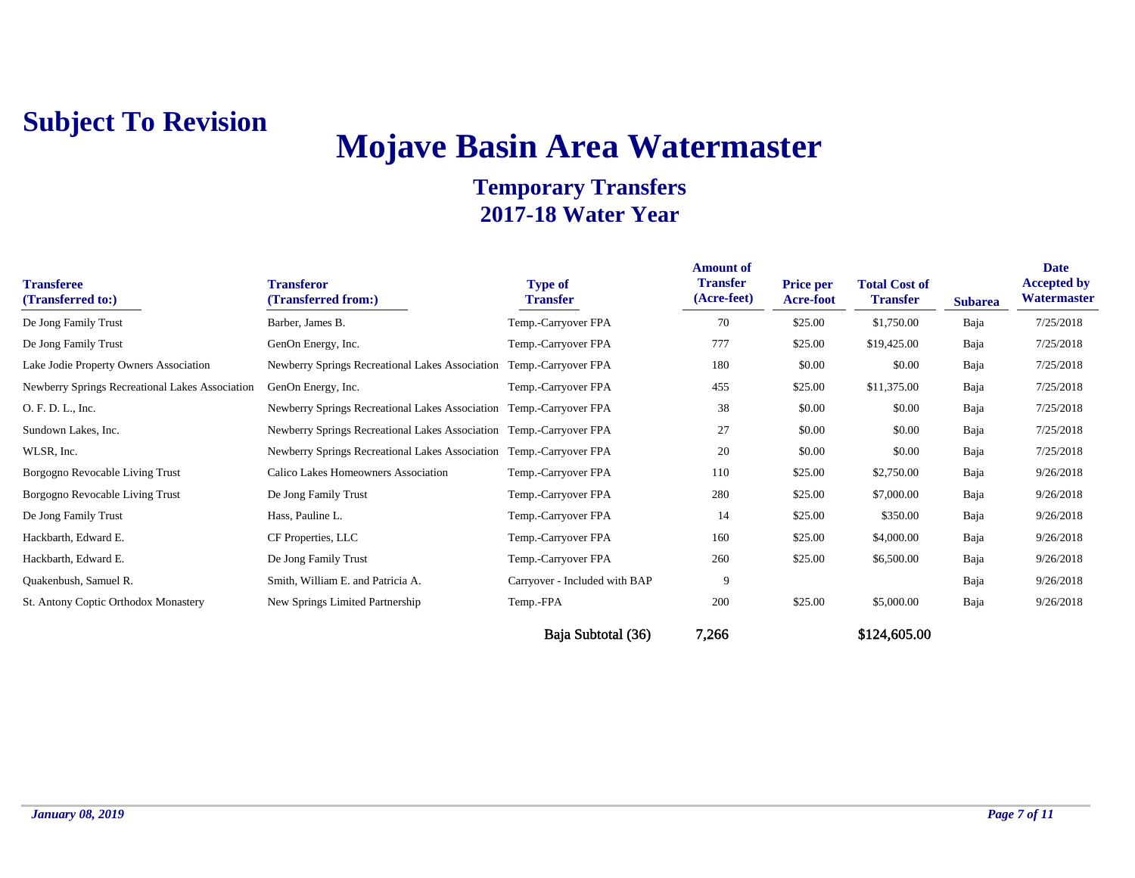# **Mojave Basin Area Watermaster**

| <b>Transferee</b><br>(Transferred to:)          | <b>Transferor</b><br>(Transferred from:)                            | <b>Type of</b><br><b>Transfer</b> | <b>Amount of</b><br><b>Transfer</b><br>(Acre-feet) | <b>Price per</b><br><b>Acre-foot</b> | <b>Total Cost of</b><br><b>Transfer</b> | <b>Subarea</b> | <b>Date</b><br><b>Accepted by</b><br>Watermaster |
|-------------------------------------------------|---------------------------------------------------------------------|-----------------------------------|----------------------------------------------------|--------------------------------------|-----------------------------------------|----------------|--------------------------------------------------|
| De Jong Family Trust                            | Barber, James B.                                                    | Temp.-Carryover FPA               | 70                                                 | \$25.00                              | \$1,750.00                              | Baja           | 7/25/2018                                        |
| De Jong Family Trust                            | GenOn Energy, Inc.                                                  | Temp.-Carryover FPA               | 777                                                | \$25.00                              | \$19,425.00                             | Baja           | 7/25/2018                                        |
| Lake Jodie Property Owners Association          | Newberry Springs Recreational Lakes Association                     | Temp.-Carryover FPA               | 180                                                | \$0.00                               | \$0.00                                  | Baja           | 7/25/2018                                        |
| Newberry Springs Recreational Lakes Association | GenOn Energy, Inc.                                                  | Temp.-Carryover FPA               | 455                                                | \$25.00                              | \$11,375.00                             | Baja           | 7/25/2018                                        |
| O. F. D. L., Inc.                               | Newberry Springs Recreational Lakes Association Temp.-Carryover FPA |                                   | 38                                                 | \$0.00                               | \$0.00                                  | Baja           | 7/25/2018                                        |
| Sundown Lakes, Inc.                             | Newberry Springs Recreational Lakes Association Temp.-Carryover FPA |                                   | 27                                                 | \$0.00                               | \$0.00                                  | Baja           | 7/25/2018                                        |
| WLSR, Inc.                                      | Newberry Springs Recreational Lakes Association Temp.-Carryover FPA |                                   | 20                                                 | \$0.00                               | \$0.00                                  | Baja           | 7/25/2018                                        |
| Borgogno Revocable Living Trust                 | Calico Lakes Homeowners Association                                 | Temp.-Carryover FPA               | 110                                                | \$25.00                              | \$2,750.00                              | Baja           | 9/26/2018                                        |
| Borgogno Revocable Living Trust                 | De Jong Family Trust                                                | Temp.-Carryover FPA               | 280                                                | \$25.00                              | \$7,000.00                              | Baja           | 9/26/2018                                        |
| De Jong Family Trust                            | Hass, Pauline L.                                                    | Temp.-Carryover FPA               | 14                                                 | \$25.00                              | \$350.00                                | Baja           | 9/26/2018                                        |
| Hackbarth, Edward E.                            | CF Properties, LLC                                                  | Temp.-Carryover FPA               | 160                                                | \$25.00                              | \$4,000.00                              | Baja           | 9/26/2018                                        |
| Hackbarth, Edward E.                            | De Jong Family Trust                                                | Temp.-Carryover FPA               | 260                                                | \$25.00                              | \$6,500.00                              | Baja           | 9/26/2018                                        |
| Quakenbush, Samuel R.                           | Smith, William E. and Patricia A.                                   | Carryover - Included with BAP     | 9                                                  |                                      |                                         | Baja           | 9/26/2018                                        |
| St. Antony Coptic Orthodox Monastery            | New Springs Limited Partnership                                     | Temp.-FPA                         | 200                                                | \$25.00                              | \$5,000.00                              | Baja           | 9/26/2018                                        |
|                                                 |                                                                     | Baja Subtotal (36)                | 7,266                                              |                                      | \$124,605.00                            |                |                                                  |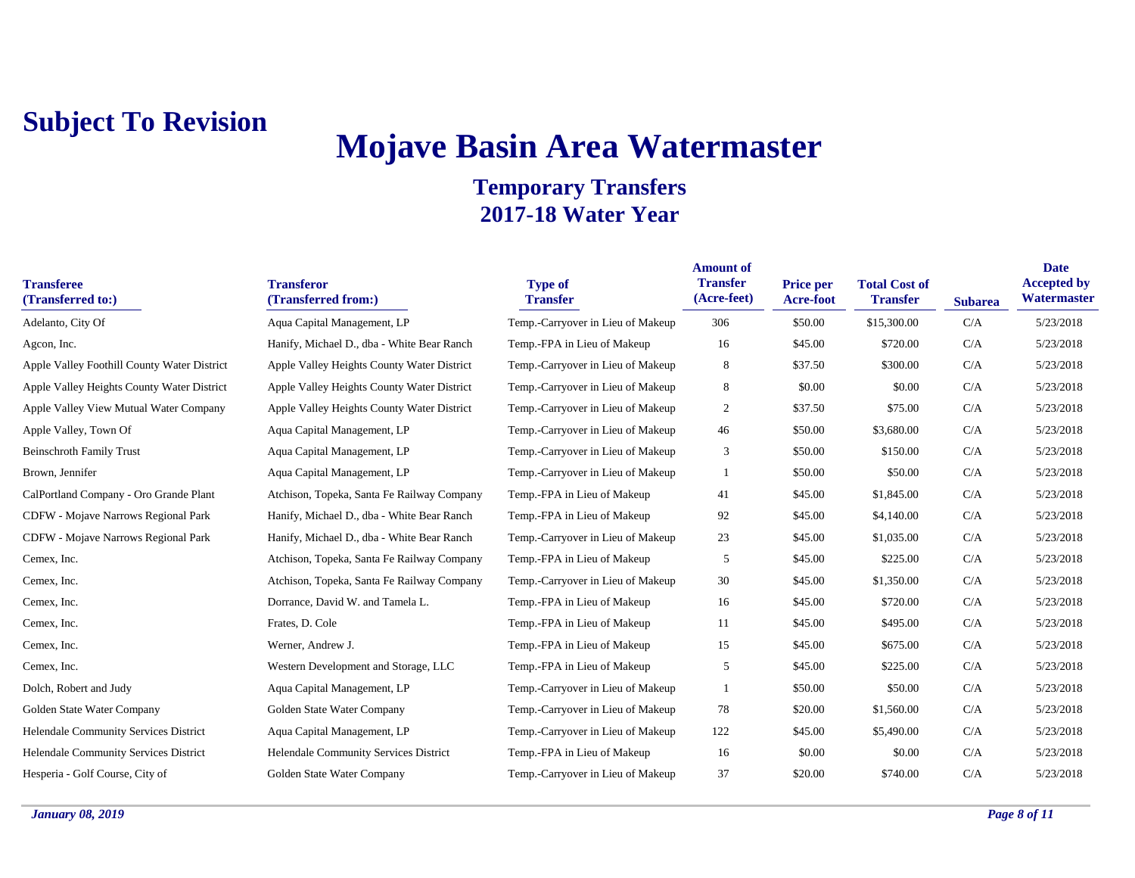# **Mojave Basin Area Watermaster**

| <b>Transferee</b><br>(Transferred to:)      | <b>Transferor</b><br>(Transferred from:)   | <b>Type of</b><br><b>Transfer</b> | <b>Amount of</b><br><b>Transfer</b><br>(Acre-feet) | Price per<br>Acre-foot | <b>Total Cost of</b><br><b>Transfer</b> | <b>Subarea</b> | <b>Date</b><br><b>Accepted by</b><br>Watermaster |
|---------------------------------------------|--------------------------------------------|-----------------------------------|----------------------------------------------------|------------------------|-----------------------------------------|----------------|--------------------------------------------------|
| Adelanto, City Of                           | Aqua Capital Management, LP                | Temp.-Carryover in Lieu of Makeup | 306                                                | \$50.00                | \$15,300.00                             | C/A            | 5/23/2018                                        |
| Agcon, Inc.                                 | Hanify, Michael D., dba - White Bear Ranch | Temp.-FPA in Lieu of Makeup       | 16                                                 | \$45.00                | \$720.00                                | C/A            | 5/23/2018                                        |
| Apple Valley Foothill County Water District | Apple Valley Heights County Water District | Temp.-Carryover in Lieu of Makeup | 8                                                  | \$37.50                | \$300.00                                | C/A            | 5/23/2018                                        |
| Apple Valley Heights County Water District  | Apple Valley Heights County Water District | Temp.-Carryover in Lieu of Makeup | 8                                                  | \$0.00                 | \$0.00                                  | C/A            | 5/23/2018                                        |
| Apple Valley View Mutual Water Company      | Apple Valley Heights County Water District | Temp.-Carryover in Lieu of Makeup | $\overline{c}$                                     | \$37.50                | \$75.00                                 | C/A            | 5/23/2018                                        |
| Apple Valley, Town Of                       | Aqua Capital Management, LP                | Temp.-Carryover in Lieu of Makeup | 46                                                 | \$50.00                | \$3,680.00                              | C/A            | 5/23/2018                                        |
| <b>Beinschroth Family Trust</b>             | Aqua Capital Management, LP                | Temp.-Carryover in Lieu of Makeup | 3                                                  | \$50.00                | \$150.00                                | C/A            | 5/23/2018                                        |
| Brown, Jennifer                             | Aqua Capital Management, LP                | Temp.-Carryover in Lieu of Makeup | 1                                                  | \$50.00                | \$50.00                                 | C/A            | 5/23/2018                                        |
| CalPortland Company - Oro Grande Plant      | Atchison, Topeka, Santa Fe Railway Company | Temp.-FPA in Lieu of Makeup       | 41                                                 | \$45.00                | \$1,845.00                              | C/A            | 5/23/2018                                        |
| CDFW - Mojave Narrows Regional Park         | Hanify, Michael D., dba - White Bear Ranch | Temp.-FPA in Lieu of Makeup       | 92                                                 | \$45.00                | \$4,140.00                              | C/A            | 5/23/2018                                        |
| <b>CDFW</b> - Mojave Narrows Regional Park  | Hanify, Michael D., dba - White Bear Ranch | Temp.-Carryover in Lieu of Makeup | 23                                                 | \$45.00                | \$1,035.00                              | C/A            | 5/23/2018                                        |
| Cemex, Inc.                                 | Atchison, Topeka, Santa Fe Railway Company | Temp.-FPA in Lieu of Makeup       | 5                                                  | \$45.00                | \$225.00                                | C/A            | 5/23/2018                                        |
| Cemex, Inc.                                 | Atchison, Topeka, Santa Fe Railway Company | Temp.-Carryover in Lieu of Makeup | 30                                                 | \$45.00                | \$1,350.00                              | C/A            | 5/23/2018                                        |
| Cemex, Inc.                                 | Dorrance, David W. and Tamela L.           | Temp.-FPA in Lieu of Makeup       | 16                                                 | \$45.00                | \$720.00                                | C/A            | 5/23/2018                                        |
| Cemex, Inc.                                 | Frates, D. Cole                            | Temp.-FPA in Lieu of Makeup       | 11                                                 | \$45.00                | \$495.00                                | C/A            | 5/23/2018                                        |
| Cemex, Inc.                                 | Werner, Andrew J.                          | Temp.-FPA in Lieu of Makeup       | 15                                                 | \$45.00                | \$675.00                                | C/A            | 5/23/2018                                        |
| Cemex, Inc.                                 | Western Development and Storage, LLC       | Temp.-FPA in Lieu of Makeup       | 5                                                  | \$45.00                | \$225.00                                | C/A            | 5/23/2018                                        |
| Dolch, Robert and Judy                      | Aqua Capital Management, LP                | Temp.-Carryover in Lieu of Makeup |                                                    | \$50.00                | \$50.00                                 | C/A            | 5/23/2018                                        |
| Golden State Water Company                  | Golden State Water Company                 | Temp.-Carryover in Lieu of Makeup | 78                                                 | \$20.00                | \$1,560.00                              | C/A            | 5/23/2018                                        |
| Helendale Community Services District       | Aqua Capital Management, LP                | Temp.-Carryover in Lieu of Makeup | 122                                                | \$45.00                | \$5,490.00                              | C/A            | 5/23/2018                                        |
| Helendale Community Services District       | Helendale Community Services District      | Temp.-FPA in Lieu of Makeup       | 16                                                 | \$0.00                 | \$0.00                                  | C/A            | 5/23/2018                                        |
| Hesperia - Golf Course, City of             | Golden State Water Company                 | Temp.-Carryover in Lieu of Makeup | 37                                                 | \$20.00                | \$740.00                                | C/A            | 5/23/2018                                        |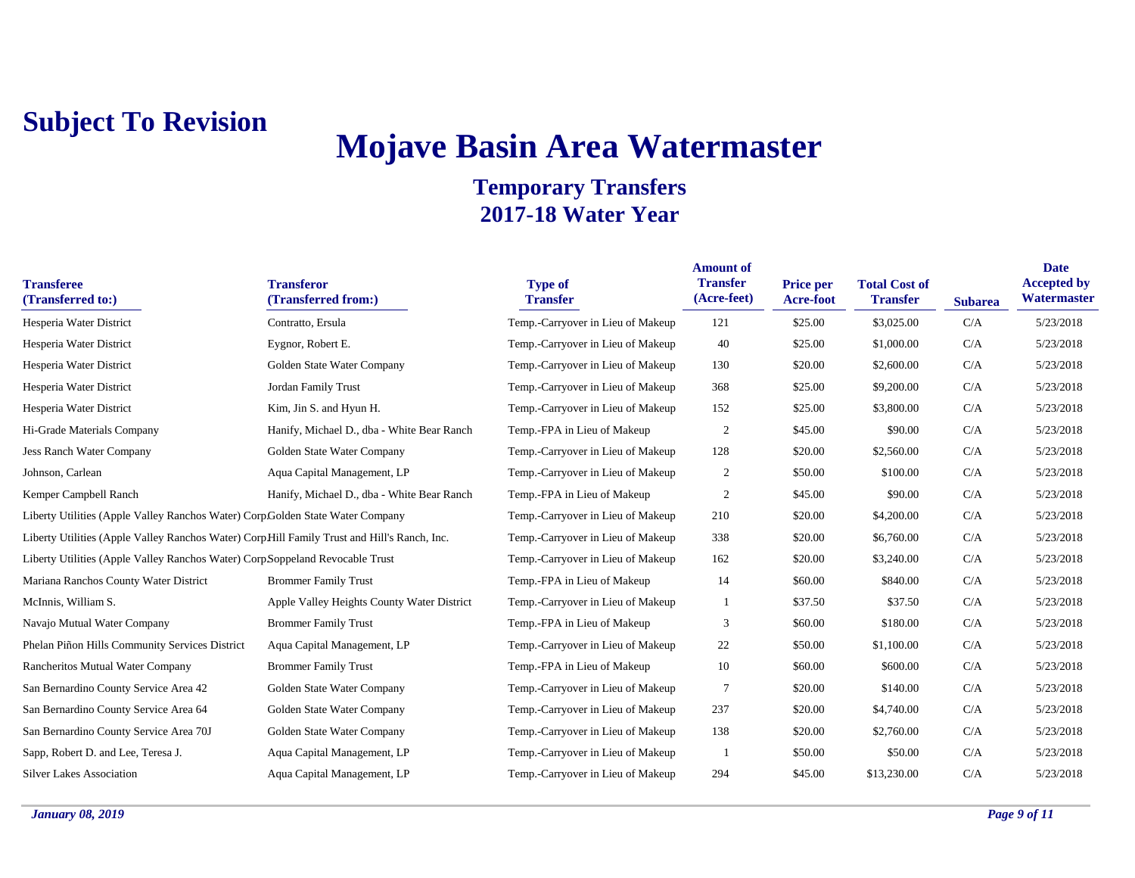## **Mojave Basin Area Watermaster**

| <b>Transferee</b><br>(Transferred to:)                                                      | <b>Transferor</b><br>(Transferred from:)   | <b>Type of</b><br><b>Transfer</b> | <b>Amount of</b><br><b>Transfer</b><br>(Acre-feet) | Price per<br><b>Acre-foot</b> | <b>Total Cost of</b><br><b>Transfer</b> | <b>Subarea</b> | <b>Date</b><br><b>Accepted by</b><br>Watermaster |
|---------------------------------------------------------------------------------------------|--------------------------------------------|-----------------------------------|----------------------------------------------------|-------------------------------|-----------------------------------------|----------------|--------------------------------------------------|
| Hesperia Water District                                                                     | Contratto, Ersula                          | Temp.-Carryover in Lieu of Makeup | 121                                                | \$25.00                       | \$3,025.00                              | C/A            | 5/23/2018                                        |
| Hesperia Water District                                                                     | Eygnor, Robert E.                          | Temp.-Carryover in Lieu of Makeup | 40                                                 | \$25.00                       | \$1,000.00                              | C/A            | 5/23/2018                                        |
| Hesperia Water District                                                                     | Golden State Water Company                 | Temp.-Carryover in Lieu of Makeup | 130                                                | \$20.00                       | \$2,600.00                              | C/A            | 5/23/2018                                        |
| Hesperia Water District                                                                     | Jordan Family Trust                        | Temp.-Carryover in Lieu of Makeup | 368                                                | \$25.00                       | \$9,200.00                              | C/A            | 5/23/2018                                        |
| Hesperia Water District                                                                     | Kim, Jin S. and Hyun H.                    | Temp.-Carryover in Lieu of Makeup | 152                                                | \$25.00                       | \$3,800.00                              | C/A            | 5/23/2018                                        |
| Hi-Grade Materials Company                                                                  | Hanify, Michael D., dba - White Bear Ranch | Temp.-FPA in Lieu of Makeup       | $\overline{2}$                                     | \$45.00                       | \$90.00                                 | C/A            | 5/23/2018                                        |
| <b>Jess Ranch Water Company</b>                                                             | Golden State Water Company                 | Temp.-Carryover in Lieu of Makeup | 128                                                | \$20.00                       | \$2,560.00                              | C/A            | 5/23/2018                                        |
| Johnson, Carlean                                                                            | Aqua Capital Management, LP                | Temp.-Carryover in Lieu of Makeup | $\overline{2}$                                     | \$50.00                       | \$100.00                                | C/A            | 5/23/2018                                        |
| Kemper Campbell Ranch                                                                       | Hanify, Michael D., dba - White Bear Ranch | Temp.-FPA in Lieu of Makeup       | $\overline{2}$                                     | \$45.00                       | \$90.00                                 | C/A            | 5/23/2018                                        |
| Liberty Utilities (Apple Valley Ranchos Water) Corp Golden State Water Company              |                                            | Temp.-Carryover in Lieu of Makeup | 210                                                | \$20.00                       | \$4,200.00                              | C/A            | 5/23/2018                                        |
| Liberty Utilities (Apple Valley Ranchos Water) CorpHill Family Trust and Hill's Ranch, Inc. |                                            | Temp.-Carryover in Lieu of Makeup | 338                                                | \$20.00                       | \$6,760.00                              | C/A            | 5/23/2018                                        |
| Liberty Utilities (Apple Valley Ranchos Water) Corp Soppeland Revocable Trust               |                                            | Temp.-Carryover in Lieu of Makeup | 162                                                | \$20.00                       | \$3,240.00                              | C/A            | 5/23/2018                                        |
| Mariana Ranchos County Water District                                                       | <b>Brommer Family Trust</b>                | Temp.-FPA in Lieu of Makeup       | 14                                                 | \$60.00                       | \$840.00                                | C/A            | 5/23/2018                                        |
| McInnis, William S.                                                                         | Apple Valley Heights County Water District | Temp.-Carryover in Lieu of Makeup |                                                    | \$37.50                       | \$37.50                                 | C/A            | 5/23/2018                                        |
| Navajo Mutual Water Company                                                                 | <b>Brommer Family Trust</b>                | Temp.-FPA in Lieu of Makeup       | 3                                                  | \$60.00                       | \$180.00                                | C/A            | 5/23/2018                                        |
| Phelan Piñon Hills Community Services District                                              | Aqua Capital Management, LP                | Temp.-Carryover in Lieu of Makeup | 22                                                 | \$50.00                       | \$1,100.00                              | C/A            | 5/23/2018                                        |
| Rancheritos Mutual Water Company                                                            | <b>Brommer Family Trust</b>                | Temp.-FPA in Lieu of Makeup       | 10                                                 | \$60.00                       | \$600.00                                | C/A            | 5/23/2018                                        |
| San Bernardino County Service Area 42                                                       | Golden State Water Company                 | Temp.-Carryover in Lieu of Makeup | 7                                                  | \$20.00                       | \$140.00                                | C/A            | 5/23/2018                                        |
| San Bernardino County Service Area 64                                                       | Golden State Water Company                 | Temp.-Carryover in Lieu of Makeup | 237                                                | \$20.00                       | \$4,740.00                              | C/A            | 5/23/2018                                        |
| San Bernardino County Service Area 70J                                                      | Golden State Water Company                 | Temp.-Carryover in Lieu of Makeup | 138                                                | \$20.00                       | \$2,760.00                              | C/A            | 5/23/2018                                        |
| Sapp, Robert D. and Lee, Teresa J.                                                          | Aqua Capital Management, LP                | Temp.-Carryover in Lieu of Makeup |                                                    | \$50.00                       | \$50.00                                 | C/A            | 5/23/2018                                        |
| <b>Silver Lakes Association</b>                                                             | Aqua Capital Management, LP                | Temp.-Carryover in Lieu of Makeup | 294                                                | \$45.00                       | \$13,230.00                             | C/A            | 5/23/2018                                        |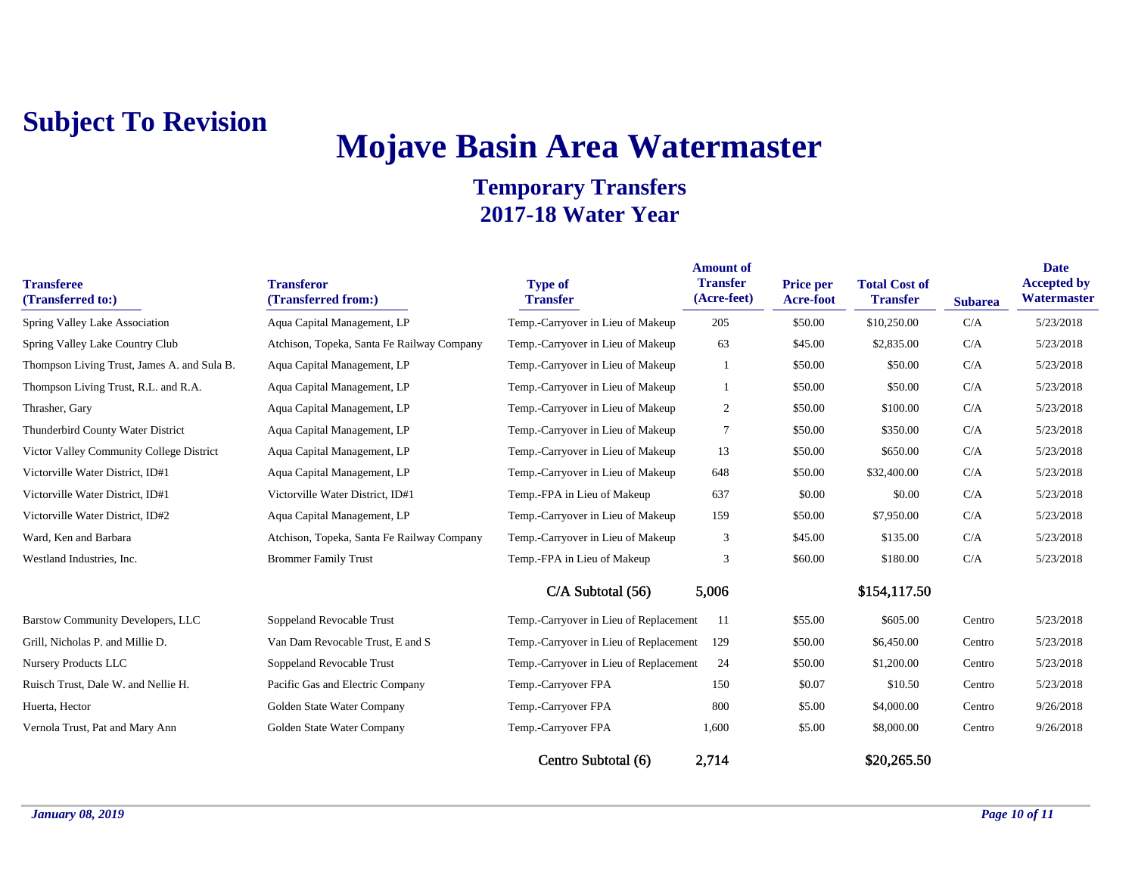# **Mojave Basin Area Watermaster**

| <b>Transferee</b><br>(Transferred to:)      | <b>Transferor</b><br>(Transferred from:)   | <b>Type of</b><br><b>Transfer</b>      | <b>Amount of</b><br><b>Transfer</b><br>(Acre-feet) | <b>Price per</b><br>Acre-foot | <b>Total Cost of</b><br><b>Transfer</b> | <b>Subarea</b> | <b>Date</b><br><b>Accepted by</b><br>Watermaster |
|---------------------------------------------|--------------------------------------------|----------------------------------------|----------------------------------------------------|-------------------------------|-----------------------------------------|----------------|--------------------------------------------------|
| Spring Valley Lake Association              | Aqua Capital Management, LP                | Temp.-Carryover in Lieu of Makeup      | 205                                                | \$50.00                       | \$10,250.00                             | C/A            | 5/23/2018                                        |
| Spring Valley Lake Country Club             | Atchison, Topeka, Santa Fe Railway Company | Temp.-Carryover in Lieu of Makeup      | 63                                                 | \$45.00                       | \$2,835.00                              | C/A            | 5/23/2018                                        |
| Thompson Living Trust, James A. and Sula B. | Aqua Capital Management, LP                | Temp.-Carryover in Lieu of Makeup      |                                                    | \$50.00                       | \$50.00                                 | C/A            | 5/23/2018                                        |
| Thompson Living Trust, R.L. and R.A.        | Aqua Capital Management, LP                | Temp.-Carryover in Lieu of Makeup      | -1                                                 | \$50.00                       | \$50.00                                 | C/A            | 5/23/2018                                        |
| Thrasher, Gary                              | Aqua Capital Management, LP                | Temp.-Carryover in Lieu of Makeup      | $\overline{c}$                                     | \$50.00                       | \$100.00                                | C/A            | 5/23/2018                                        |
| Thunderbird County Water District           | Aqua Capital Management, LP                | Temp.-Carryover in Lieu of Makeup      | $\tau$                                             | \$50.00                       | \$350.00                                | C/A            | 5/23/2018                                        |
| Victor Valley Community College District    | Aqua Capital Management, LP                | Temp.-Carryover in Lieu of Makeup      | 13                                                 | \$50.00                       | \$650.00                                | C/A            | 5/23/2018                                        |
| Victorville Water District, ID#1            | Aqua Capital Management, LP                | Temp.-Carryover in Lieu of Makeup      | 648                                                | \$50.00                       | \$32,400.00                             | C/A            | 5/23/2018                                        |
| Victorville Water District, ID#1            | Victorville Water District, ID#1           | Temp.-FPA in Lieu of Makeup            | 637                                                | \$0.00                        | \$0.00                                  | C/A            | 5/23/2018                                        |
| Victorville Water District, ID#2            | Aqua Capital Management, LP                | Temp.-Carryover in Lieu of Makeup      | 159                                                | \$50.00                       | \$7,950.00                              | C/A            | 5/23/2018                                        |
| Ward, Ken and Barbara                       | Atchison, Topeka, Santa Fe Railway Company | Temp.-Carryover in Lieu of Makeup      | 3                                                  | \$45.00                       | \$135.00                                | C/A            | 5/23/2018                                        |
| Westland Industries, Inc.                   | <b>Brommer Family Trust</b>                | Temp.-FPA in Lieu of Makeup            | 3                                                  | \$60.00                       | \$180.00                                | C/A            | 5/23/2018                                        |
|                                             |                                            | $C/A$ Subtotal $(56)$                  | 5,006                                              |                               | \$154,117.50                            |                |                                                  |
| <b>Barstow Community Developers, LLC</b>    | Soppeland Revocable Trust                  | Temp.-Carryover in Lieu of Replacement | -11                                                | \$55.00                       | \$605.00                                | Centro         | 5/23/2018                                        |
| Grill, Nicholas P. and Millie D.            | Van Dam Revocable Trust, E and S           | Temp.-Carryover in Lieu of Replacement | 129                                                | \$50.00                       | \$6,450.00                              | Centro         | 5/23/2018                                        |
| Nursery Products LLC                        | Soppeland Revocable Trust                  | Temp.-Carryover in Lieu of Replacement | 24                                                 | \$50.00                       | \$1,200.00                              | Centro         | 5/23/2018                                        |
| Ruisch Trust, Dale W. and Nellie H.         | Pacific Gas and Electric Company           | Temp.-Carryover FPA                    | 150                                                | \$0.07                        | \$10.50                                 | Centro         | 5/23/2018                                        |
| Huerta, Hector                              | Golden State Water Company                 | Temp.-Carryover FPA                    | 800                                                | \$5.00                        | \$4,000.00                              | Centro         | 9/26/2018                                        |
| Vernola Trust, Pat and Mary Ann             | Golden State Water Company                 | Temp.-Carryover FPA                    | 1,600                                              | \$5.00                        | \$8,000.00                              | Centro         | 9/26/2018                                        |
|                                             |                                            | Centro Subtotal (6)                    | 2,714                                              |                               | \$20,265.50                             |                |                                                  |